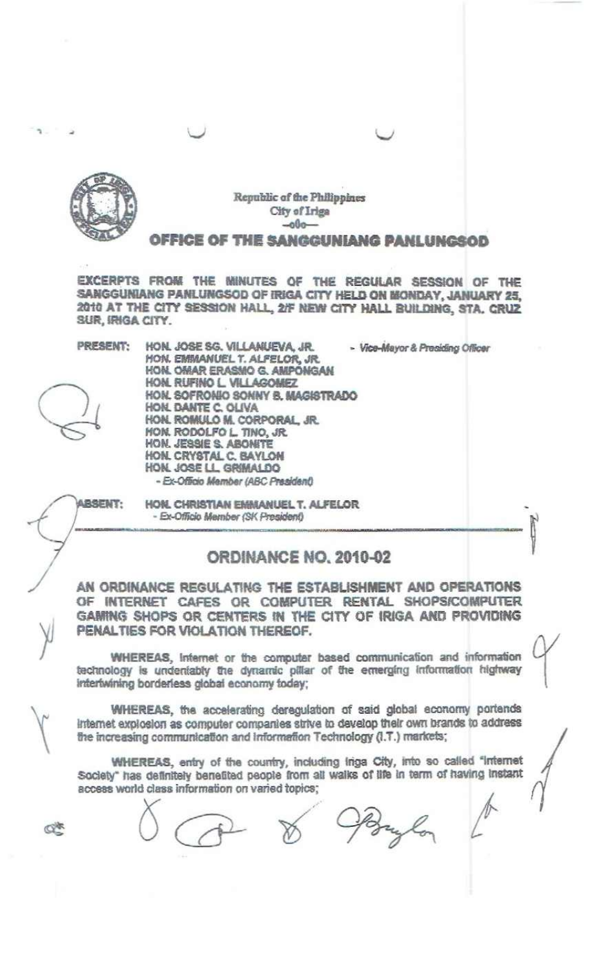PRESENT:

## Republic of the Philippines City of Iriga  $-000-$

office of the sangguniang panlungsod

EXCERPTS FROM THE MINUTES OF THE REGULAR SESSION OF THE SANGGUNIANG PANLUNGSOD OF IRIGA CITY HELD ON MONDAY, JANUARY 25, 2010 AT THE CITY SESSION HALL, 2/F NEW CITY HALL BUILDING, STA. CRUZ SUR, IRIGA CITY.

HON, JOSE SG, VILLANUEVA, JR. - Vice-Mayor & Presiding Officer HON. EMMANUEL T. ALFELOR, JR. hon. Omar Erasmo G. Ampongan HON. RUFINO L VILLAGOMEZ HON, SOFRONIO SONNY B. MAGISTRADO HON. DANTE C. OLIVA HON, ROMULO M, CORPORAL, JR. HON. RODOLFO L. TINO, JR.<br>HON. JESSIE S. ABONITE HON. CRYSTAL C. BAYLON HON JOSE LL GRIMALDO - Ex-Officio Member (ABC President)

**ABSENT:** 

HON, CHRISTIAN EMMANUEL T. ALFELOR - Ex-Officio Member (SK President)

## ORDINANCE NO. 2010-02

AN ORDINANCE REGULATING THE ESTABLISHMENT AND OPERATIONS OF INTERNET CAFES OR COMPUTER RENTAL SHOPS/COMPUTER GAMING SHOPS OR CENTERS IN THE CITY OF IRIGA AND PROVIDING PENALTIES FOR VIOLATION THEREOF.

WHEREAS, Internet or the computer based communication and information technology is undentably the dynamic pillar of the emerging information highway intertwining borderless global economy today;

WHEREAS, the accelerating deregulation of said global economy portends internet explosion as computer companies strive to develop their own brands to address the increasing communication and information Technology (I.T.) markets;

WHEREAS, entry of the country, including Iriga City, into so called "Internet Society" has definitely benefited people from all walks of life in term of having instant access world class information on varied topics;

 $\mathbb{C}^n$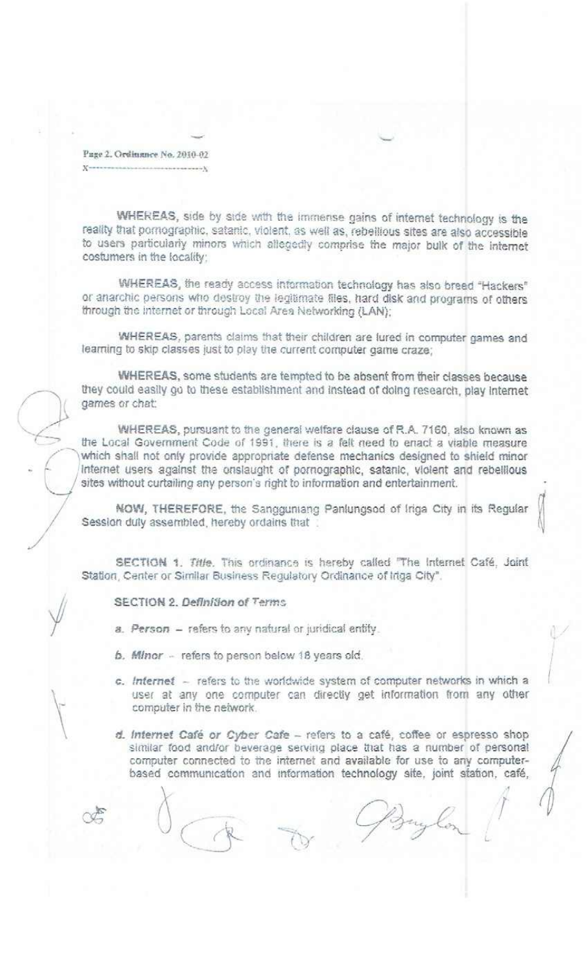Page 2. Ordinance No. 2010-02

WHEREAS, side by side with the immense gains of internet technology is the reality that pornographic, satanic, violent, as well as, rebellious sites are also accessible to users particularly minors which allegedly comprise the major bulk of the internet costumers in the locality;

WHEREAS, the ready access information technology has also breed "Hackers" or anarchic persons who destroy the legitimate files, hard disk and programs of others through the internet or through Local Area Networking (LAN);

WHEREAS, parents claims that their children are lured in computer games and learning to skip classes just to play the current computer game craze;

WHEREAS, some students are tempted to be absent from their classes because they could easily go to these establishment and instead of doing research, play internet games or chat:

WHEREAS, pursuant to the general welfare clause of R.A. 7160, also known as the Local Government Code of 1991, there is a felt need to enact a viable measure which shall not only provide appropriate defense mechanics designed to shield minor Internet users against the onslaught of pornographic, satanic, violent and rebellious sites without curtailing any person's right to information and entertainment.

NOW, THEREFORE, the Sangguniang Panlungsod of Iriga City in its Regular Session duly assembled, hereby ordains that

SECTION 1. Title. This ordinance is hereby called "The Internet Café, Joint Station, Center or Similar Business Regulatory Ordinance of Iriga City".

SECTION 2. Definition of Terms

- a. Person refers to any natural or juridical entity.
- b. Minor refers to person below 18 years old.
- c. Internet refers to the worldwide system of computer networks in which a user at any one computer can directly get information from any other computer in the network.
- d. Internet Café or Cyber Cafe refers to a café, coffee or espresso shop similar food and/or beverage serving place that has a number of personal computer connected to the internet and available for use to any computerbased communication and information technology site, joint station, café,

Buylon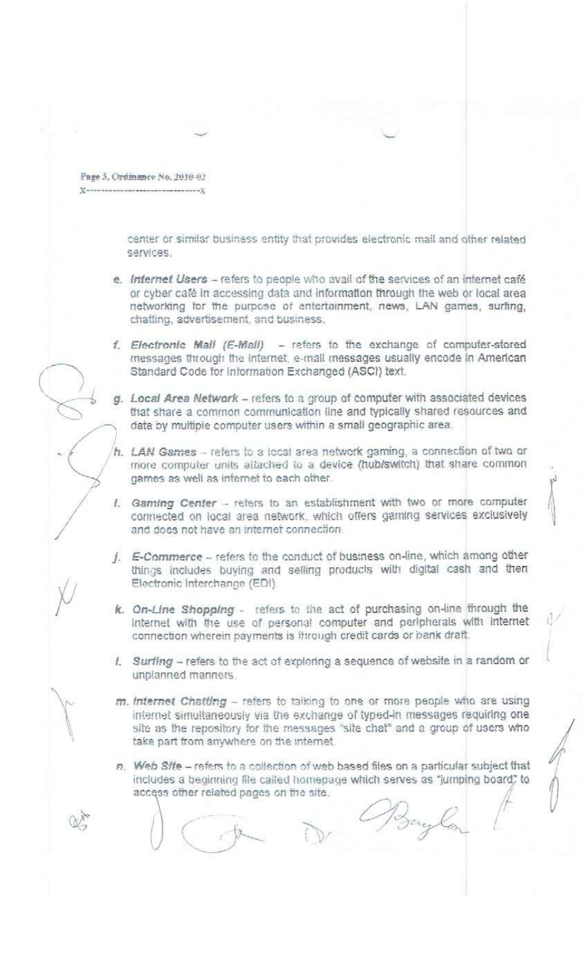Page 3, Ordinance No. 2010-02

center or similar business entity that provides electronic mail and other related services.

- e. Infernet Users refers to people who avail of the services of an internet café or cyber café in accessing data and information through the web or local area networking for the purpose of entertainment, news, LAN games, surfing, chatting, advertisement, and business,
- f. Electronic Mall (E-Mall) refers to the exchange of computer-stored messages through the internet, e-mail messages usually encode in American Standard Code for information Exchanged (ASCI) text.
- g. Local Area Network refers to a group of computer with associated devices that share a common communication line and typically shared resources and data by multiple computer users within a small geographic area.
- h. LAN Games refers to a local area network gaming, a connection of two or more computer units attached to a device (hub/switch) that share common games as well as internet to each other.
- 1. Gaming Center refers to an establishment with two or more computer connected on local area network, which offers gaming services exclusively and does not have an internet connection.
- J. E-Commerce refers to the conduct of business on-line, which among other things includes buying and selling products with digital cash and then Electronic Interchange (EDI)
- k. On-Line Shopping refers to the act of purchasing on-line through the Internet with the use of personal computer and peripherals with internet connection wherein payments is through credit cards or bank draft.
- I. Surfing refers to the act of exploring a sequence of website in a random or unplanned manners.
- m. Internet Chatting refers to talking to one or more people who are using internet simultaneously via the exchange of typed-in messages requiring one site as the repository for the messages "site chat" and a group of users who take part from anywhere on the internet.
- n. Web Site refers to a collection of web based files on a particular subject that includes a beginning file called homepage which serves as "jumping board" to access other related pages on the site.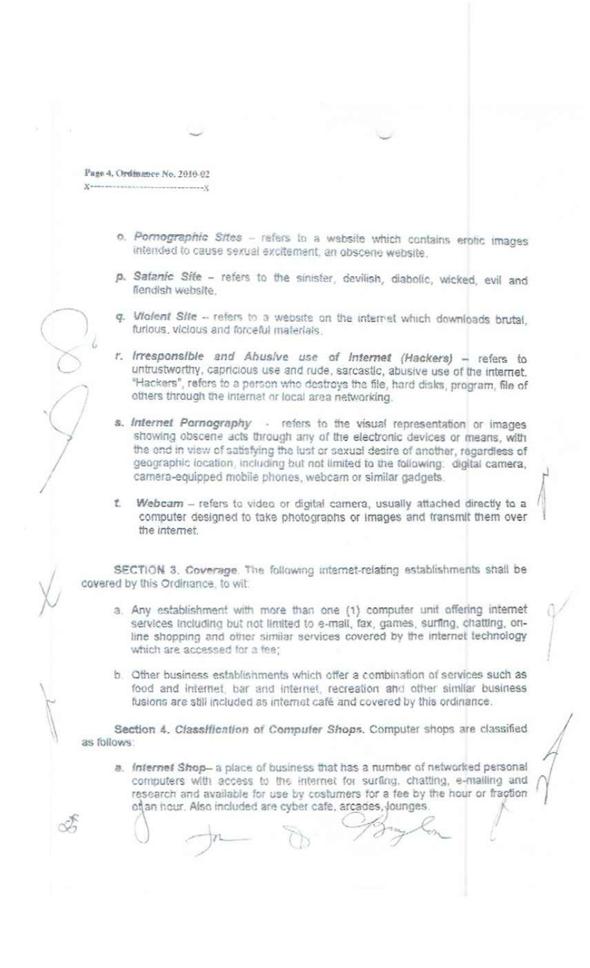Page 4, Ordinance No. 2010-02  $Y$  were generated as

- o. Pornographic Sites refers to a website which contains erotic images intended to cause sexual excitement, an obscene website.
- p. Safanic Sife refers to the sinister, devilish, diabolic, wicked, evil and fiendish website.
- q. Wolent Site -- refers to a website on the internet which downloads brutal, furious, vicious and forceful materials.
- r. Irresponsible and Abusive use of Internet (Hackers) refers to untrustworthy, capricious use and rude, sarcastic, abusive use of the internet. "Hackers", refers to a person who destroys the file, hard disks, program, file of others through the internet or local area networking.
- s. Internet Pornography refers to the visual representation or images showing obscene acts through any of the electronic devices or means, with the end in view of satisfying the lust or sexual desire of another, regardless of geographic location, including but not limited to the following: digital camera, carnera-equipped mobile phones, webcam or similar gadgets.
- t. Webcam refers to video or digital camera, usually attached directly to a computer designed to take photographs or images and transmit them over the internet.

SECTION 3. Coverage. The following internet-relating establishments shall be covered by this Ordinance, to wit:

- a. Any establishment with more than one (1) computer unit offering internet services including but not limited to e-mail, fax, games, surfing, chatting, online shopping and officer similar services covered by the internet technology which are accessed for a fee;
- b. Offier business establishments which offer a combination of services such as food and internet, bar and internet, recreation and other similar business fusions are still included as internet café and covered by this ordinance.

Section 4. Classification of Computer Shops. Computer shops are classified as follows:

a. Internet Shop- a place of business that has a number of networked personal computers with access to the internet for surfing, chatting, e-mailing and research and available for use by costumers for a fee by the hour or fraction oftan hour. Also included are cyber cafe, arcades, Jounges.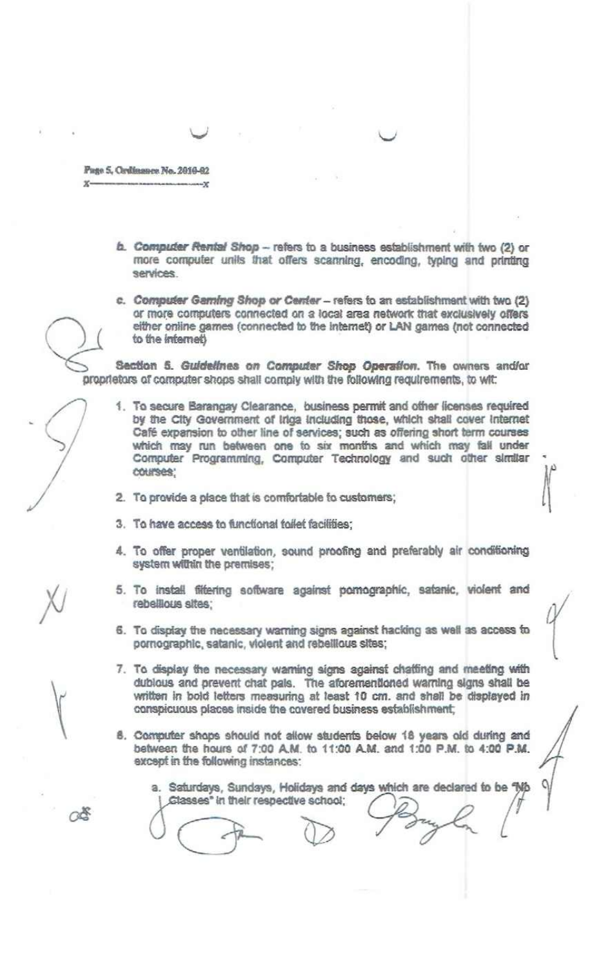Fuge 5, Cardinance No. 2010-02  $\mathbf{x}$ 

- b. Computer Rental Shop -- refers to a business establishment with two (2) or more computer units that offers scanning, encoding, typing and printing services.
- c. Computer Gaming Shop or Center refers to an establishment with two (2) or more computers connected on a local area network that exclusively offers either online games (connected to the internet) or LAN games (not connected to the internet)

Section 5. Guidelines on Computer Shop Operation. The owners and/or proprietors of computer shops shall comply with the following requirements, to wit.

- 1. To secure Barangay Clearance, business permit and other licenses required by the City Government of Iriga Including those, which shall cover Internet Café expansion to other line of services; such as offering short term courses which may run between one to six months and which may fall under Computer Programming, Computer Technology and such other similar courses:
- 2. To provide a place that is comfortable to customers;
- 3. To have access to functional toilet facilities:
- 4. To offer proper ventilation, sound proofing and preferably air conditioning system within the premises;
- 5. To install filtering software against pomographic, satanic, violent and rebellious sites:
- 6. To display the necessary warning signs against hacking as well as access to pornographic, satanic, violent and rebellious sites;
- 7. To display the necessary warning signs against chatting and meeting with dublous and prevent chat pals. The aforementioned warning signs shall be written in bold letters measuring at least 10 cm. and shall be displayed in conspicuous places inside the covered business establishment;
- 8. Computer shops should not allow students below 18 years old during and between the hours of 7:00 A.M. to 11:00 A.M. and 1:00 P.M. to 4:00 P.M. except in the following instances:

a. Saturdays, Sundays, Holidays and days which are declared to be "Mb Classes" in their respective school;

∩δ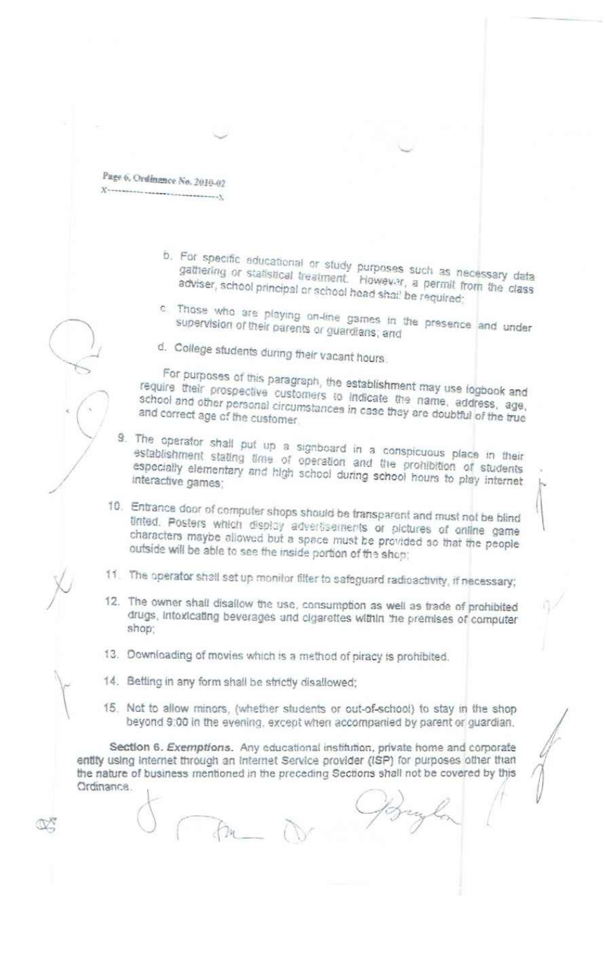Page 6, Ordinance No. 2010-02 

- b. For specific educational or study purposes such as necessary data gathering or statistical treatment. Howev-Y, a permit from the class adviser, school principal or school head shall be required;
- c. Those who are playing on-line games in the presence and under supervision of their parents or guardians; and
- d. College students during their vacant hours.

For purposes of this paragraph, the establishment may use logbook and require their prospective customers to indicate the name, address, age, school and other personal circumstances in case they are doubtful of the true and correct age of the customer.

- 9. The operator shall put up a signboard in a conspicuous place in their establishment stating time of operation and the prohibition of students especially elementary and high school during school hours to play internet interactive games;
- 10. Entrance door of computer shops should be transparent and must not be blind tinted. Posters which display advertisements or pictures of online game characters maybe allowed but a space must be provided so that the people outside will be able to see the inside portion of the shop:
- 11. The operator shall set up monitor filter to safeguard radioactivity, if necessary;
- 12. The owner shall disallow the use, consumption as well as trade of prohibited drugs, intoxicating beverages and cigarettes within the premises of computer shop:
- 13. Downloading of movies which is a method of piracy is prohibited.

14. Betting in any form shall be strictly disallowed;

15. Not to allow minors, (whether students or out-of-school) to stay in the shop beyond 9:00 in the evening, except when accompanied by parent or guardian.

Section 6. Exemptions. Any educational institution, private home and corporate entity using internet through an internet Service provider (ISP) for purposes other than the nature of business mentioned in the preceding Sections shall not be covered by this Ordinance.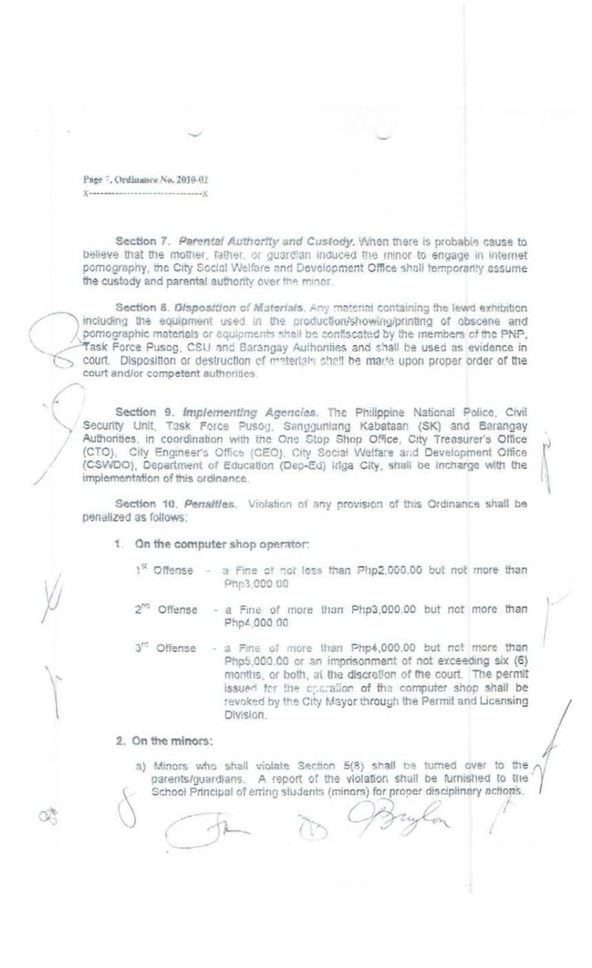Page 7, Ordinance No. 2010-02 Your company to the company of the state and a

Section 7. Parental Authority and Custody. When there is probable cause to believe that the mother, father, or quardian induced the minor to engage in internet pornography, the City Social Welfare and Development Office shall temporarily assume the custody and parental authority over the minor.

Section 8. Disposition of Materials. Any material containing the lewd exhibition including the equipment used in the production/showing/printing of obscene and pomographic materials or equipments shall be confiscated by the members of the PNP. Task Force Pusog, CSU and Barangay Authorities and shall be used as evidence in court. Disposition or destruction of materials shall be made upon proper order of the court and/or competent authorities.

Section 9. Implementing Agencies. The Philippine National Police, Civil Security Unit, Task Force Pusog, Sanggunlang Kabataan (SK) and Barangay Authorities, in coordination with the One Stop Shop Office, City Treasurer's Office (CTO), City Engineer's Office (CEO), City Social Walfare and Development Office (CSWDO), Department of Education (Dep-Ed) Iriga City, shall be incharge with the implementation of this ordinance.

Section 10. Pensitles. Violation of any provision of this Ordinance shall be penalized as follows:

- 1. On the computer shop operator:
	- 1<sup>%</sup> Offense a Fine of not less than Php2,000.00 but not more than Phn3.000.00
	- a Fine of more than Php3,000.00 but not more than Offense Php4,000.00

- a Fine of more than Php4,000.00 but not more than 3<sup>10</sup> Offense Php5.000.00 or an imprisonment of not exceeding six (6) months, or both, at the discretion of the court. The permit issued for the operation of the computer shop shall be revoked by the City Mayor through the Permit and Licensing Division.

2. On the minors:

a) Minors who shall violate Section 5(8) shall be turned over to the parents/guardians. A report of the violation shall be furnished to the School Principal of erring students (minors) for proper disciplinary actions.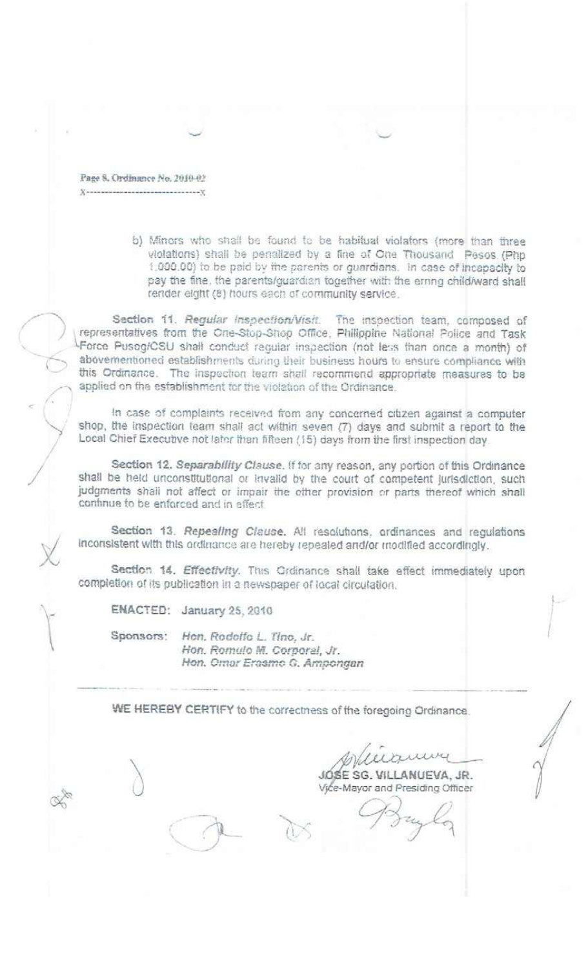Page 8. Ordinance No. 2010-02  $X \rightarrow \infty$  , which is a construction of the set of  $X$ 

> b) Minors who shall be found to be habitual violators (more than three violations) shall be penalized by a fine of One Thousand Pesos (Php 1,000.00) to be paid by the parents or guardians. In case of incapacity to pay the fine, the parents/guardian together with the erring child/ward shall render eight (8) hours each of community service.

Section 11. Regular Inspection/Visit. The Inspection team, composed of representatives from the One-Stop-Shop Office, Philippine National Police and Task Force Pusog/CSU shall conduct regular inspection (not less than once a month) of abovementioned establishments during their business hours to ensure compliance with this Ordinance. The inspection team shall recommend appropriate measures to be applied on the establishment for the violation of the Ordinance.

In case of complaints received from any concerned citizen against a computer shop, the inspection team shall act within seven (7) days and submit a report to the Local Chief Executive not later than fifteen (15) days from the first inspection day.

Section 12. Separability Clause. If for any reason, any portion of this Ordinance shall be held unconstitutional or invalid by the court of competent jurisdiction, such judgments shall not affect or impair the other provision or parts thereof which shall continue to be enforced and in effect.

Section 13. Repealing Clause. All resolutions, ordinances and regulations inconsistent with this ordinance are hereby repealed and/or modified accordingly.

Section 14. Effectivity. This Ordinance shall take effect immediately upon completion of its publication in a newspaper of local circulation.

EMACTED: January 25, 2010

Sponsors: Hen. Rodolfo L. Tino, Jr. Hon, Romulo M. Corporal, Jr. Hon. Omar Erasmo G. Ampongan

WE HEREBY CERTIFY to the correctness of the foregoing Ordinance.

JOSE SG. VILLANUEVA. JR. Vice-Mayor and Presiding Officer